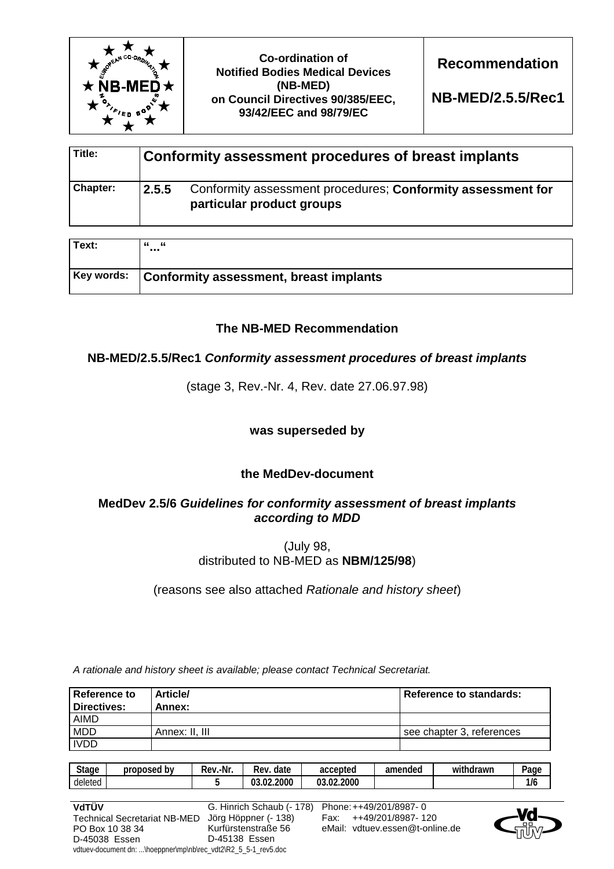

**Co-ordination of Notified Bodies Medical Devices (NB-MED) on Council Directives 90/385/EEC, 93/42/EEC and 98/79/EC** 

**Recommendation** 

**NB-MED/2.5.5/Rec1** 

| Title:   |       | Conformity assessment procedures of breast implants                                      |
|----------|-------|------------------------------------------------------------------------------------------|
| Chapter: | 2.5.5 | Conformity assessment procedures; Conformity assessment for<br>particular product groups |

| Text: | - 66<br>"<br>                                     |
|-------|---------------------------------------------------|
|       | Key words: Conformity assessment, breast implants |

# **The NB-MED Recommendation**

# **NB-MED/2.5.5/Rec1** *Conformity assessment procedures of breast implants*

(stage 3, Rev.-Nr. 4, Rev. date 27.06.97.98)

## **was superseded by**

# **the MedDev-document**

# **MedDev 2.5/6** *Guidelines for conformity assessment of breast implants according to MDD*

(July 98, distributed to NB-MED as **NBM/125/98**)

(reasons see also attached *Rationale and history sheet*)

*A rationale and history sheet is available; please contact Technical Secretariat.* 

| <b>Reference to</b><br>Directives: | <b>Article/</b><br>Annex: | Reference to standards:   |
|------------------------------------|---------------------------|---------------------------|
| <b>AIMD</b>                        |                           |                           |
| <b>MDD</b>                         | Annex: II. III            | see chapter 3. references |
| <b>IVDD</b>                        |                           |                           |

| <b>Stage</b> | by<br>proposed | .-Nr<br>Rev | date<br>kev          | accepted   | amended | $\cdots$<br>withdrawn | -<br>Page |
|--------------|----------------|-------------|----------------------|------------|---------|-----------------------|-----------|
| deleted      |                |             | .02.2000<br>ດາ<br>u. | 03.02.2000 |         |                       | 1/6       |

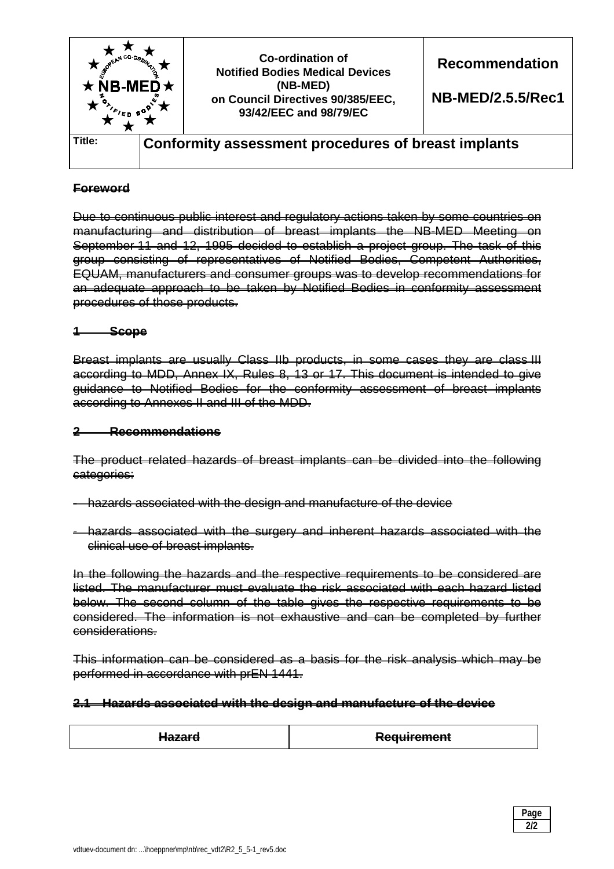

## **Foreword**

Due to continuous public interest and regulatory actions taken by some countries on manufacturing and distribution of breast implants the NB-MED Meeting on September 11 and 12, 1995 decided to establish a project group. The task of this group consisting of representatives of Notified Bodies, Competent Authorities, EQUAM, manufacturers and consumer groups was to develop recommendations for an adequate approach to be taken by Notified Bodies in conformity assessment procedures of those products.

### **1 Scope**

Breast implants are usually Class IIb products, in some cases they are class III according to MDD, Annex IX, Rules 8, 13 or 17. This document is intended to give guidance to Notified Bodies for the conformity assessment of breast implants according to Annexes II and III of the MDD.

### **2 Recommendations**

The product related hazards of breast implants can be divided into the following categories:

- hazards associated with the design and manufacture of the device
- hazards associated with the surgery and inherent hazards associated with the clinical use of breast implants.

In the following the hazards and the respective requirements to be considered are listed. The manufacturer must evaluate the risk associated with each hazard listed below. The second column of the table gives the respective requirements to be considered. The information is not exhaustive and can be completed by further considerations.

This information can be considered as a basis for the risk analysis which may be performed in accordance with prEN 1441.

#### **2.1 Hazards associated with the design and manufacture of the device**

| ------<br><del>nazara</del> | <del>Requirement</del> |
|-----------------------------|------------------------|
|-----------------------------|------------------------|

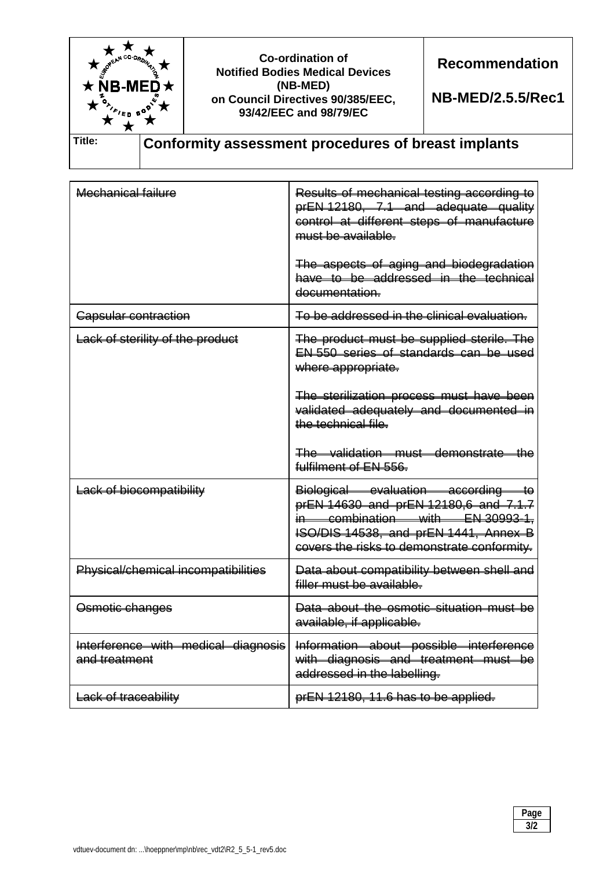

Mechanical failure **Results of mechanical testing according to** prEN 12180, 7.1 and adequate quality control at different steps of manufacture must be available. The aspects of aging and biodegradation have to be addressed in the technical documentation. Capsular contraction **To be addressed in the clinical evaluation.** Lack of sterility of the product The product must be supplied sterile. The EN 550 series of standards can be used where appropriate. The sterilization process must have been validated adequately and documented in the technical file. The validation must demonstrate the fulfilment of EN 556. Lack of biocompatibility Lack of biological evaluation according to prEN 14630 and prEN 12180,6 and 7.1.7 combination with EN 30993-1, ISO/DIS 14538, and prEN 1441, Annex B covers the risks to demonstrate conformity. Physical/chemical incompatibilities | Data about compatibility between shell and filler must be available. Osmotic changes **Data about the osmotic situation must be** available, if applicable. Interference with medical diagnosis and treatment Information about possible interference with diagnosis and treatment must be addressed in the labelling. Lack of traceability **prEN 12180, 11.6 has to be applied.**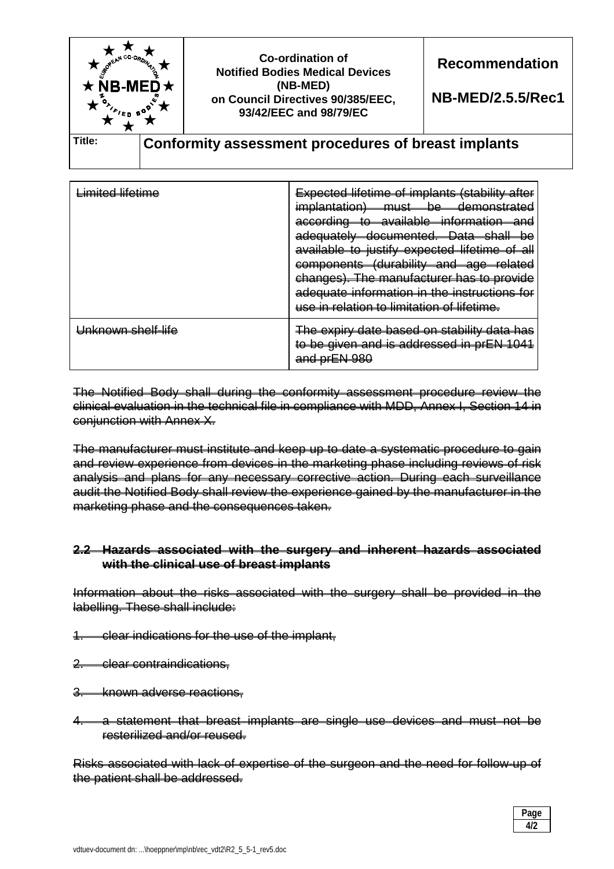

| <del>Limited lifetime</del> | <b>Expected lifetime of implants (stability after</b><br><i>implantation</i> )<br><del>demonstrated</del><br>must<br>be<br>according<br><del>available</del><br>information<br>$+ \cap$<br>nno<br><b>Dota</b><br><del>documented.</del><br>choll<br><del>adequately—</del><br>h۵<br><del>Dala</del><br><del>ənam</del><br>υU<br>available to justify expected lifetime of<br>a⊪<br>(durability and age related<br>components<br>ਕਥੁਰ<br>changes). The manufacturer has to provide<br>adequate information in the instructions for<br>use in relation to limitation of lifetime. |
|-----------------------------|---------------------------------------------------------------------------------------------------------------------------------------------------------------------------------------------------------------------------------------------------------------------------------------------------------------------------------------------------------------------------------------------------------------------------------------------------------------------------------------------------------------------------------------------------------------------------------|
| Unknown shelf-life          | The expiry date based on stability data has<br>to be given and is addressed in prEN 1041<br>and pr <b>ENL080</b><br><del>ang prerroo</del>                                                                                                                                                                                                                                                                                                                                                                                                                                      |

The Notified Body shall during the conformity assessment procedure review the clinical evaluation in the technical file in compliance with MDD, Annex I, Section 14 in conjunction with Annex X.

The manufacturer must institute and keep up to date a systematic procedure to gain and review experience from devices in the marketing phase including reviews of risk analysis and plans for any necessary corrective action. During each surveillance audit the Notified Body shall review the experience gained by the manufacturer in the marketing phase and the consequences taken.

### **2.2 Hazards associated with the surgery and inherent hazards associated with the clinical use of breast implants**

Information about the risks associated with the surgery shall be provided in the labelling. These shall include:

- 1. clear indications for the use of the implant,
- 2. clear contraindications,
- 3. known adverse reactions,
- 4. a statement that breast implants are single use devices and must not be resterilized and/or reused.

Risks associated with lack of expertise of the surgeon and the need for follow-up of the patient shall be addressed.

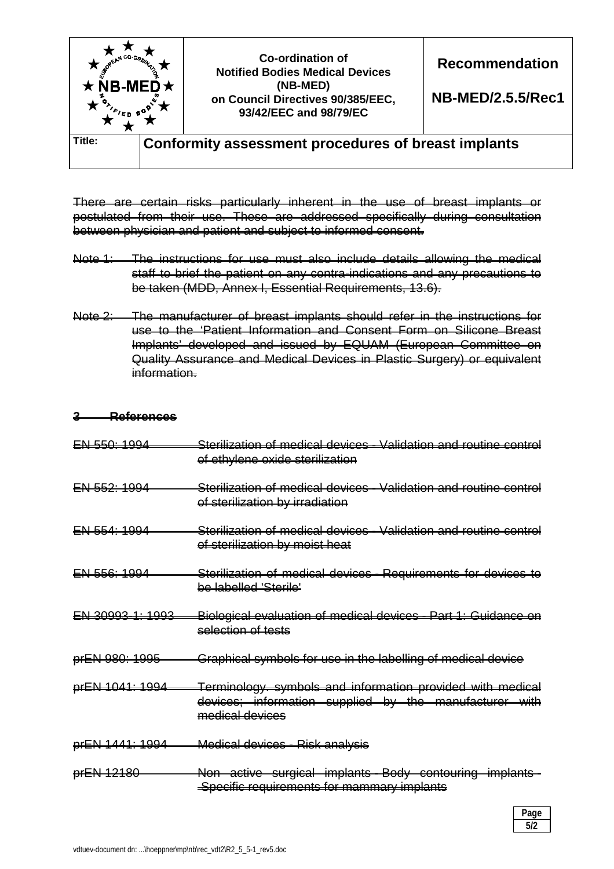

There are certain risks particularly inherent in the use of breast implants or postulated from their use. These are addressed specifically during consultation between physician and patient and subject to informed consent.

- Note 1: The instructions for use must also include details allowing the medical staff to brief the patient on any contra-indications and any precautions to be taken (MDD, Annex I, Essential Requirements, 13.6).
- Note 2: The manufacturer of breast implants should refer in the instructions for use to the 'Patient Information and Consent Form on Silicone Breast Implants' developed and issued by EQUAM (European Committee on Quality Assurance and Medical Devices in Plastic Surgery) or equivalent information.

### **3 References**

| <del>EN 550: 1994</del> | Sterilization of medical devices - Validation and routine control<br>of ethylene oxide sterilization                                    |
|-------------------------|-----------------------------------------------------------------------------------------------------------------------------------------|
| $EN-552:1994$           | <u> Sterilization of medical devices - Validation and routine control</u><br>of sterilization by irradiation                            |
| <del>EN 554: 1994</del> | Sterilization of medical devices - Validation and routine control<br>of sterilization by moist heat                                     |
| EN 556: 1994            | Sterilization of medical devices - Requirements for devices to<br><del>be labelled 'Sterile'</del>                                      |
| EN 30993-1: 1993        | Biological evaluation of medical devices - Part 1: Guidance on<br>selection of tests                                                    |
| prEN 980: 1995          | Graphical symbols for use in the labelling of medical device                                                                            |
| prEN 1041: 1994         | Terminology. symbols and information provided with medical<br>devices; information supplied by the manufacturer with<br>medical devices |
| prEN 1441: 1994         | Medical devices - Risk analysis                                                                                                         |
| prEN 12180              | Non active surgical implants Body contouring implants-                                                                                  |

Specific requirements for mammary implants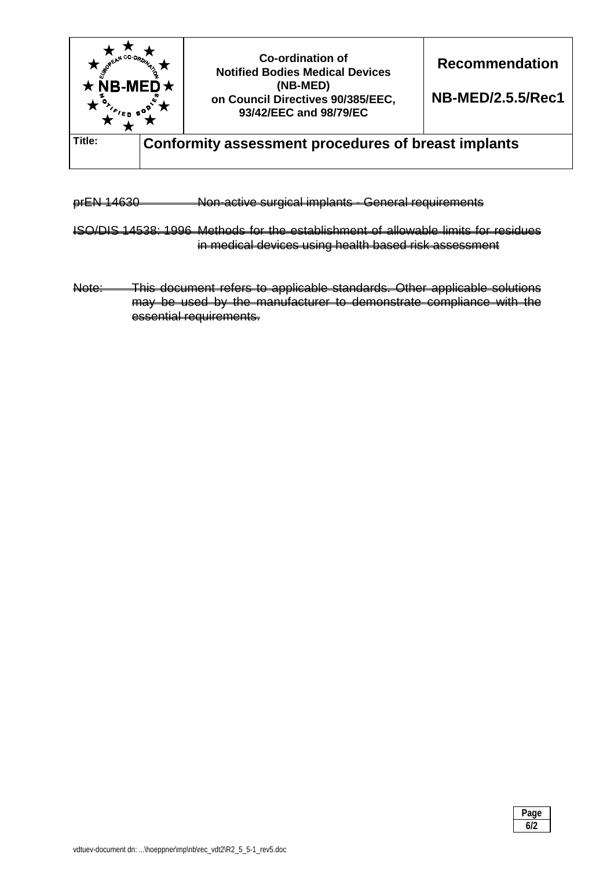

prEN 14630 Non-active surgical implants - General requirements

ISO/DIS 14538: 1996 Methods for the establishment of allowable limits for residues in medical devices using health based risk assessment

Note: This document refers to applicable standards. Other applicable solutions may be used by the manufacturer to demonstrate compliance with the essential requirements.

| Page |
|------|
| 6/2  |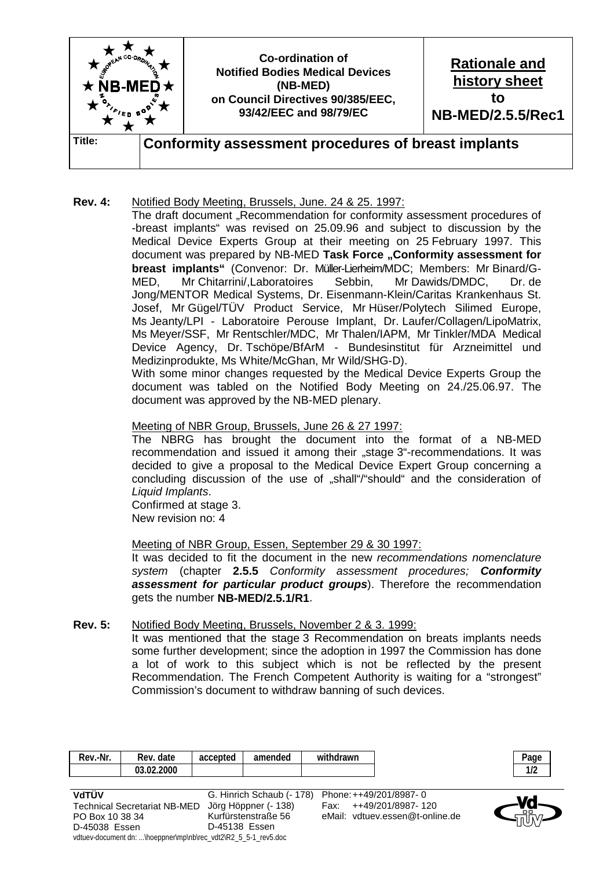

## **Rev. 4:** Notified Body Meeting, Brussels, June. 24 & 25. 1997:

The draft document "Recommendation for conformity assessment procedures of -breast implants" was revised on 25.09.96 and subject to discussion by the Medical Device Experts Group at their meeting on 25 February 1997. This document was prepared by NB-MED Task Force ..Conformity assessment for **breast implants"** (Convenor: Dr. Müller-Lierheim/MDC; Members: Mr Binard/G-MED, Mr Chitarrini/,Laboratoires Sebbin, Mr Dawids/DMDC, Dr. de Jong/MENTOR Medical Systems, Dr. Eisenmann-Klein/Caritas Krankenhaus St. Josef, Mr Gügel/TÜV Product Service, Mr Hüser/Polytech Silimed Europe, Ms Jeanty/LPI - Laboratoire Perouse Implant, Dr. Laufer/Collagen/LipoMatrix, Ms Meyer/SSF, Mr Rentschler/MDC, Mr Thalen/IAPM, Mr Tinkler/MDA Medical Device Agency, Dr. Tschöpe/BfArM - Bundesinstitut für Arzneimittel und Medizinprodukte, Ms White/McGhan, Mr Wild/SHG-D).

 With some minor changes requested by the Medical Device Experts Group the document was tabled on the Notified Body Meeting on 24./25.06.97. The document was approved by the NB-MED plenary.

### Meeting of NBR Group, Brussels, June 26 & 27 1997:

 The NBRG has brought the document into the format of a NB-MED recommendation and issued it among their "stage 3"-recommendations. It was decided to give a proposal to the Medical Device Expert Group concerning a concluding discussion of the use of "shall"/"should" and the consideration of *Liquid Implants*.

 Confirmed at stage 3. New revision no: 4

### Meeting of NBR Group, Essen, September 29 & 30 1997:

 It was decided to fit the document in the new *recommendations nomenclature system* (chapter **2.5.5** *Conformity assessment procedures; Conformity assessment for particular product groups*). Therefore the recommendation gets the number **NB-MED/2.5.1/R1**.

#### **Rev. 5:** Notified Body Meeting, Brussels, November 2 & 3. 1999:

 It was mentioned that the stage 3 Recommendation on breats implants needs some further development; since the adoption in 1997 the Commission has done a lot of work to this subject which is not be reflected by the present Recommendation. The French Competent Authority is waiting for a "strongest" Commission's document to withdraw banning of such devices.

| ∴-Nr.<br>Rev. | Rev. date        | accepted | amended | withdrawn |  |
|---------------|------------------|----------|---------|-----------|--|
|               | 03.02.2000<br>ΩΩ |          |         |           |  |